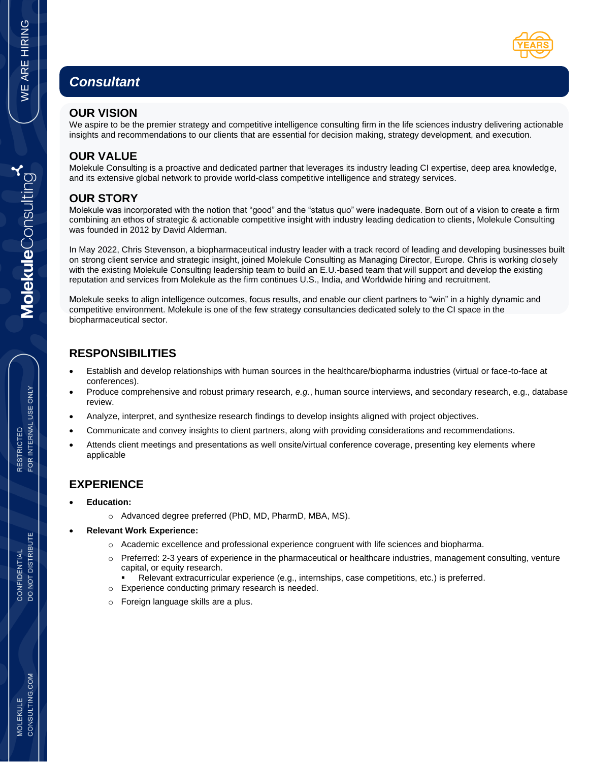# *Consultant*

#### **OUR VISION**

We aspire to be the premier strategy and competitive intelligence consulting firm in the life sciences industry delivering actionable insights and recommendations to our clients that are essential for decision making, strategy development, and execution.

#### **OUR VALUE**

Molekule Consulting is a proactive and dedicated partner that leverages its industry leading CI expertise, deep area knowledge, and its extensive global network to provide world-class competitive intelligence and strategy services.

## **OUR STORY**

Molekule was incorporated with the notion that "good" and the "status quo" were inadequate. Born out of a vision to create a firm combining an ethos of strategic & actionable competitive insight with industry leading dedication to clients, Molekule Consulting was founded in 2012 by David Alderman.

In May 2022, Chris Stevenson, a biopharmaceutical industry leader with a track record of leading and developing businesses built on strong client service and strategic insight, joined Molekule Consulting as Managing Director, Europe. Chris is working closely with the existing Molekule Consulting leadership team to build an E.U.-based team that will support and develop the existing reputation and services from Molekule as the firm continues U.S., India, and Worldwide hiring and recruitment.

Molekule seeks to align intelligence outcomes, focus results, and enable our client partners to "win" in a highly dynamic and competitive environment. Molekule is one of the few strategy consultancies dedicated solely to the CI space in the biopharmaceutical sector.

## **RESPONSIBILITIES**

- Establish and develop relationships with human sources in the healthcare/biopharma industries (virtual or face-to-face at conferences).
- Produce comprehensive and robust primary research, *e.g.*, human source interviews, and secondary research, e.g., database review.
- Analyze, interpret, and synthesize research findings to develop insights aligned with project objectives.
- Communicate and convey insights to client partners, along with providing considerations and recommendations.
- Attends client meetings and presentations as well onsite/virtual conference coverage, presenting key elements where applicable

#### **EXPERIENCE**

- **Education:** 
	- o Advanced degree preferred (PhD, MD, PharmD, MBA, MS).
- **Relevant Work Experience:** 
	- o Academic excellence and professional experience congruent with life sciences and biopharma.
	- $\circ$  Preferred: 2-3 years of experience in the pharmaceutical or healthcare industries, management consulting, venture capital, or equity research.
		- Relevant extracurricular experience (e.g., internships, case competitions, etc.) is preferred.
	- o Experience conducting primary research is needed.
	- Foreign language skills are a plus.

CONSULTING.COM **MOLEKULE**